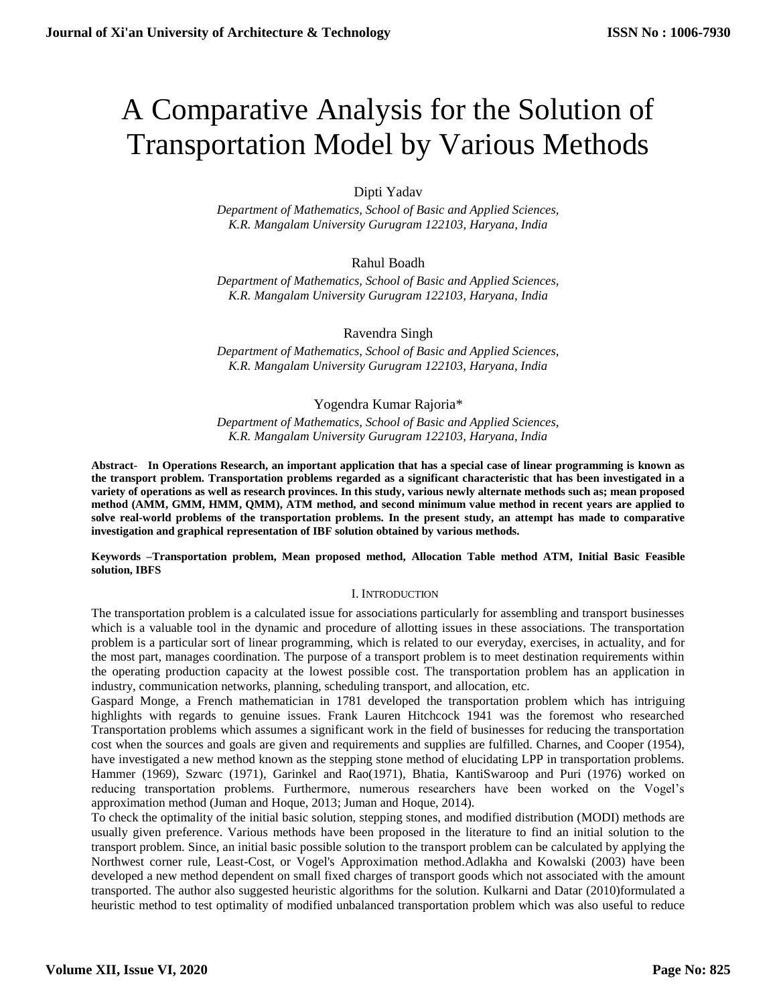# A Comparative Analysis for the Solution of Transportation Model by Various Methods

Dipti Yadav

*Department of Mathematics, School of Basic and Applied Sciences, K.R. Mangalam University Gurugram 122103, Haryana, India*

Rahul Boadh

*Department of Mathematics, School of Basic and Applied Sciences, K.R. Mangalam University Gurugram 122103, Haryana, India*

Ravendra Singh

*Department of Mathematics, School of Basic and Applied Sciences, K.R. Mangalam University Gurugram 122103, Haryana, India*

Yogendra Kumar Rajoria\*

*Department of Mathematics, School of Basic and Applied Sciences, K.R. Mangalam University Gurugram 122103, Haryana, India*

**Abstract- In Operations Research, an important application that has a special case of linear programming is known as the transport problem. Transportation problems regarded as a significant characteristic that has been investigated in a variety of operations as well as research provinces. In this study, various newly alternate methods such as; mean proposed method (AMM, GMM, HMM, QMM), ATM method, and second minimum value method in recent years are applied to solve real-world problems of the transportation problems. In the present study, an attempt has made to comparative investigation and graphical representation of IBF solution obtained by various methods.** 

## **Keywords –Transportation problem, Mean proposed method, Allocation Table method ATM, Initial Basic Feasible solution, IBFS**

# I. INTRODUCTION

The transportation problem is a calculated issue for associations particularly for assembling and transport businesses which is a valuable tool in the dynamic and procedure of allotting issues in these associations. The transportation problem is a particular sort of linear programming, which is related to our everyday, exercises, in actuality, and for the most part, manages coordination. The purpose of a transport problem is to meet destination requirements within the operating production capacity at the lowest possible cost. The transportation problem has an application in industry, communication networks, planning, scheduling transport, and allocation, etc.

Gaspard Monge, a French mathematician in 1781 developed the transportation problem which has intriguing highlights with regards to genuine issues. Frank Lauren Hitchcock 1941 was the foremost who researched Transportation problems which assumes a significant work in the field of businesses for reducing the transportation cost when the sources and goals are given and requirements and supplies are fulfilled. Charnes, and Cooper (1954), have investigated a new method known as the stepping stone method of elucidating LPP in transportation problems. Hammer (1969), Szwarc (1971), Garinkel and Rao(1971), Bhatia, KantiSwaroop and Puri (1976) worked on reducing transportation problems. Furthermore, numerous researchers have been worked on the Vogel's approximation method (Juman and Hoque, 2013; Juman and Hoque, 2014).

To check the optimality of the initial basic solution, stepping stones, and modified distribution (MODI) methods are usually given preference. Various methods have been proposed in the literature to find an initial solution to the transport problem. Since, an initial basic possible solution to the transport problem can be calculated by applying the Northwest corner rule, Least-Cost, or Vogel's Approximation method.Adlakha and Kowalski (2003) have been developed a new method dependent on small fixed charges of transport goods which not associated with the amount transported. The author also suggested heuristic algorithms for the solution. Kulkarni and Datar (2010)formulated a heuristic method to test optimality of modified unbalanced transportation problem which was also useful to reduce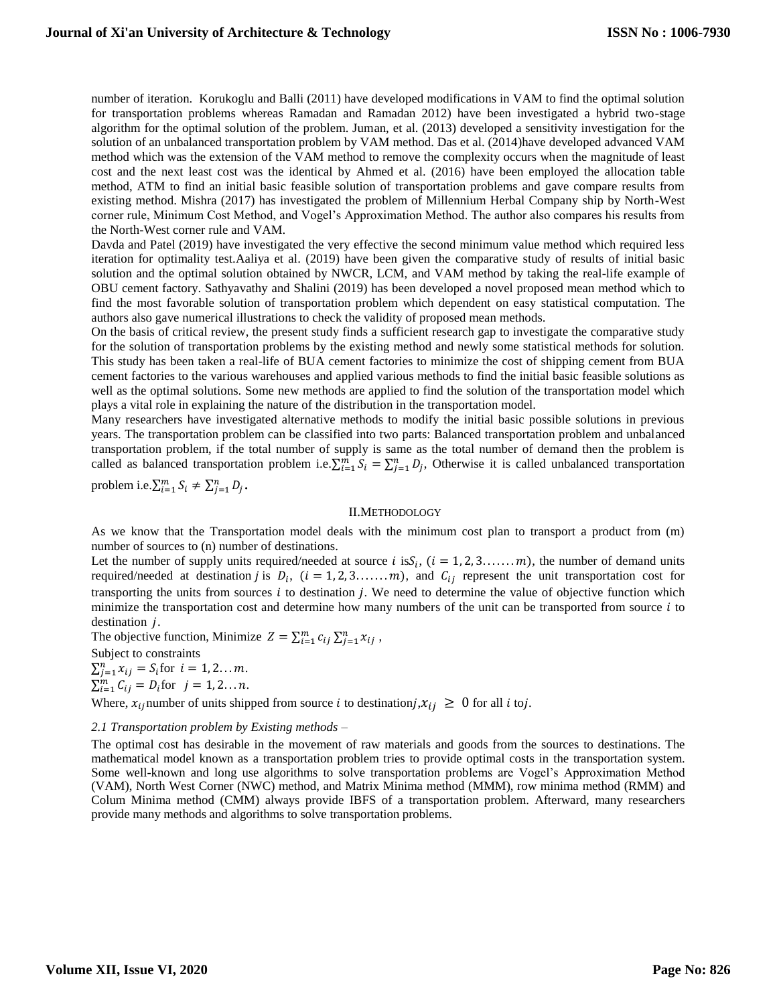number of iteration. Korukoglu and Balli (2011) have developed modifications in VAM to find the optimal solution for transportation problems whereas Ramadan and Ramadan 2012) have been investigated a hybrid two-stage algorithm for the optimal solution of the problem. Juman, et al. (2013) developed a sensitivity investigation for the solution of an unbalanced transportation problem by VAM method. Das et al. (2014)have developed advanced VAM method which was the extension of the VAM method to remove the complexity occurs when the magnitude of least cost and the next least cost was the identical by Ahmed et al. (2016) have been employed the allocation table method, ATM to find an initial basic feasible solution of transportation problems and gave compare results from existing method. Mishra (2017) has investigated the problem of Millennium Herbal Company ship by North-West corner rule, Minimum Cost Method, and Vogel's Approximation Method. The author also compares his results from the North-West corner rule and VAM.

Davda and Patel (2019) have investigated the very effective the second minimum value method which required less iteration for optimality test.Aaliya et al. (2019) have been given the comparative study of results of initial basic solution and the optimal solution obtained by NWCR, LCM, and VAM method by taking the real-life example of OBU cement factory. Sathyavathy and Shalini (2019) has been developed a novel proposed mean method which to find the most favorable solution of transportation problem which dependent on easy statistical computation. The authors also gave numerical illustrations to check the validity of proposed mean methods.

On the basis of critical review, the present study finds a sufficient research gap to investigate the comparative study for the solution of transportation problems by the existing method and newly some statistical methods for solution. This study has been taken a real-life of BUA cement factories to minimize the cost of shipping cement from BUA cement factories to the various warehouses and applied various methods to find the initial basic feasible solutions as well as the optimal solutions. Some new methods are applied to find the solution of the transportation model which plays a vital role in explaining the nature of the distribution in the transportation model.

Many researchers have investigated alternative methods to modify the initial basic possible solutions in previous years. The transportation problem can be classified into two parts: Balanced transportation problem and unbalanced transportation problem, if the total number of supply is same as the total number of demand then the problem is called as balanced transportation problem i.e.  $\sum_{i=1}^{m} S_i = \sum_{j=1}^{n} D_j$ , Otherwise it is called unbalanced transportation

problem i.e. $\sum_{i=1}^{m} S_i \neq \sum_{j=1}^{n} D_j$ .

#### II.METHODOLOGY

As we know that the Transportation model deals with the minimum cost plan to transport a product from (m) number of sources to (n) number of destinations.

Let the number of supply units required/needed at source i is  $S_i$ ,  $(i = 1, 2, 3, ..., m)$ , the number of demand units required/needed at destination *j* is  $D_i$ ,  $(i = 1, 2, 3, ..., m)$ , and  $C_{ij}$  represent the unit transportation cost for transporting the units from sources  $i$  to destination  $j$ . We need to determine the value of objective function which minimize the transportation cost and determine how many numbers of the unit can be transported from source  $i$  to destination  $j$ .

The objective function, Minimize  $Z = \sum_{i=1}^{m} c_{ij} \sum_{j=1}^{n} x_{ij}$ ,

Subject to constraints

 $\sum_{j=1}^{n} x_{ij} = S_i$  for  $i = 1, 2, ..., m$ .  $\sum_{i=1}^{m} C_{ij} = D_i$  for  $j = 1, 2, \dots n$ .

Where,  $x_{ij}$  number of units shipped from source *i* to destination  $j, x_{ij} \geq 0$  for all *i* to *j*.

#### *2.1 Transportation problem by Existing methods –*

The optimal cost has desirable in the movement of raw materials and goods from the sources to destinations. The mathematical model known as a transportation problem tries to provide optimal costs in the transportation system. Some well-known and long use algorithms to solve transportation problems are Vogel's Approximation Method (VAM), North West Corner (NWC) method, and Matrix Minima method (MMM), row minima method (RMM) and Colum Minima method (CMM) always provide IBFS of a transportation problem. Afterward, many researchers provide many methods and algorithms to solve transportation problems.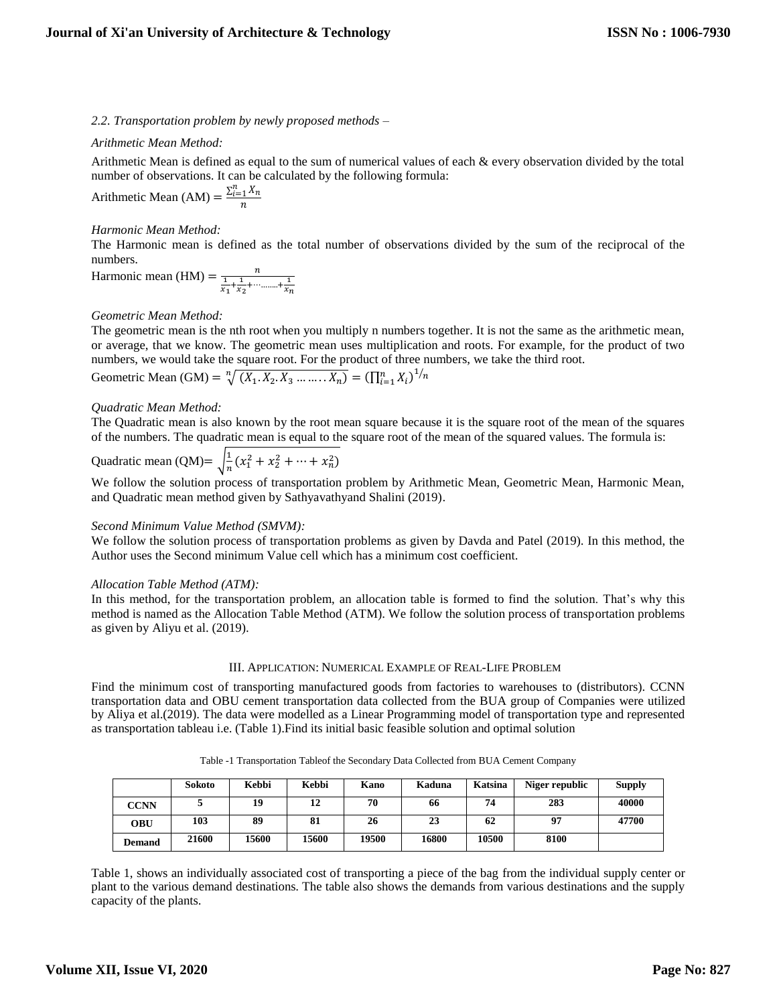*2.2. Transportation problem by newly proposed methods –*

# *Arithmetic Mean Method:*

Arithmetic Mean is defined as equal to the sum of numerical values of each & every observation divided by the total number of observations. It can be calculated by the following formula:

Arithmetic Mean (AM) =  $\frac{\sum_{i=1}^{n} X_n}{n}$ 

# *Harmonic Mean Method:*

The Harmonic mean is defined as the total number of observations divided by the sum of the reciprocal of the numbers.

Harmonic mean (HM) =  $\frac{n}{\frac{1}{x_1} + \frac{1}{x_2} + \cdots + \frac{1}{x_n}}$ 

## *Geometric Mean Method:*

The geometric mean is the nth root when you multiply n numbers together. It is not the same as the arithmetic mean, or average, that we know. The geometric mean uses multiplication and roots. For example, for the product of two numbers, we would take the square root. For the product of three numbers, we take the third root.

Geometric Mean (GM) = 
$$
\sqrt[n]{(X_1, X_2, X_3, ..., X_n)}
$$
 =  $(\prod_{i=1}^{n} X_i)^{1/n}$ 

## *Quadratic Mean Method:*

The Quadratic mean is also known by the root mean square because it is the square root of the mean of the squares of the numbers. The quadratic mean is equal to the square root of the mean of the squared values. The formula is:

Quadratic mean (QM)=  $\frac{1}{n}$  $\frac{1}{n}(x_1^2 + x_2^2 + \dots + x_n^2)$ 

We follow the solution process of transportation problem by Arithmetic Mean, Geometric Mean, Harmonic Mean, and Quadratic mean method given by Sathyavathyand Shalini (2019).

## *Second Minimum Value Method (SMVM):*

We follow the solution process of transportation problems as given by Davda and Patel (2019). In this method, the Author uses the Second minimum Value cell which has a minimum cost coefficient.

## *Allocation Table Method (ATM):*

In this method, for the transportation problem, an allocation table is formed to find the solution. That's why this method is named as the Allocation Table Method (ATM). We follow the solution process of transportation problems as given by Aliyu et al. (2019).

## III. APPLICATION: NUMERICAL EXAMPLE OF REAL-LIFE PROBLEM

Find the minimum cost of transporting manufactured goods from factories to warehouses to (distributors). CCNN transportation data and OBU cement transportation data collected from the BUA group of Companies were utilized by Aliya et al.(2019). The data were modelled as a Linear Programming model of transportation type and represented as transportation tableau i.e. (Table 1).Find its initial basic feasible solution and optimal solution

|  |  |  |  |  |  | Table -1 Transportation Tableof the Secondary Data Collected from BUA Cement Company |
|--|--|--|--|--|--|--------------------------------------------------------------------------------------|
|--|--|--|--|--|--|--------------------------------------------------------------------------------------|

|               | Sokoto | Kebbi        | Kebbi | Kano  | Kaduna | Katsina | Niger republic | <b>Supply</b> |
|---------------|--------|--------------|-------|-------|--------|---------|----------------|---------------|
| <b>CCNN</b>   |        | 19           | 12    | 70    | 66     | 74      | 283            | 40000         |
| OBU           | 103    | 89           | 81    | 26    | 23     | 62      | 97             | 47700         |
| <b>Demand</b> | 21600  | <b>15600</b> | 15600 | 19500 | 16800  | 10500   | 8100           |               |

Table 1, shows an individually associated cost of transporting a piece of the bag from the individual supply center or plant to the various demand destinations. The table also shows the demands from various destinations and the supply capacity of the plants.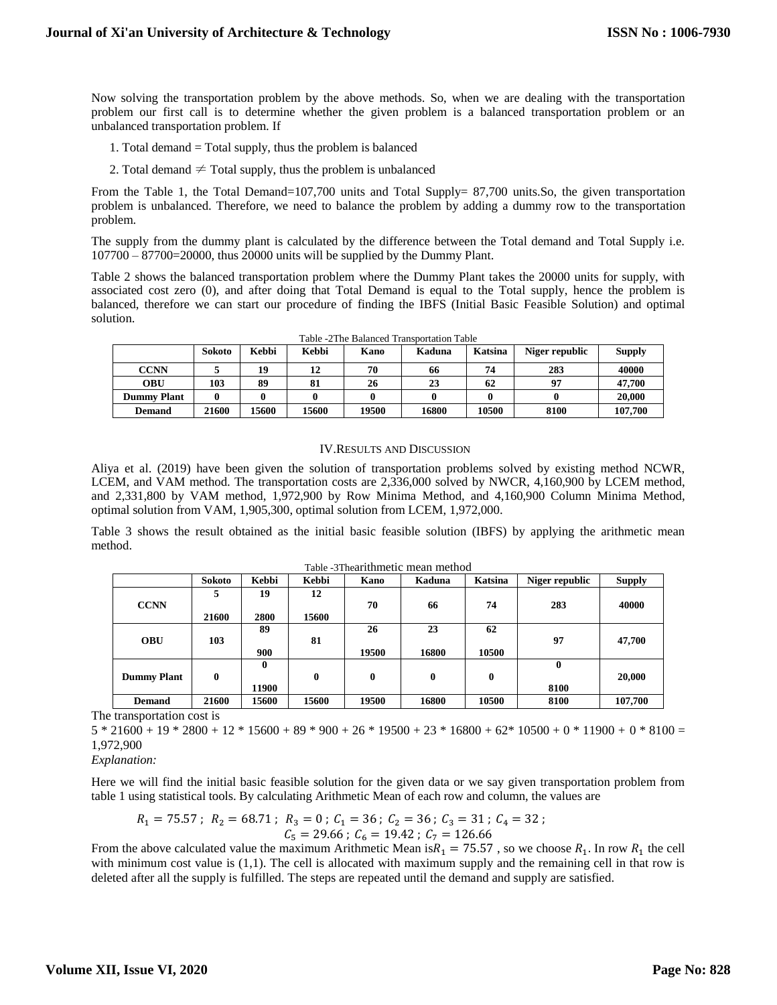Now solving the transportation problem by the above methods. So, when we are dealing with the transportation problem our first call is to determine whether the given problem is a balanced transportation problem or an unbalanced transportation problem. If

- 1. Total demand = Total supply, thus the problem is balanced
- 2. Total demand  $\neq$  Total supply, thus the problem is unbalanced

From the Table 1, the Total Demand=107,700 units and Total Supply= 87,700 units.So, the given transportation problem is unbalanced. Therefore, we need to balance the problem by adding a dummy row to the transportation problem.

The supply from the dummy plant is calculated by the difference between the Total demand and Total Supply i.e. 107700 – 87700=20000, thus 20000 units will be supplied by the Dummy Plant.

Table 2 shows the balanced transportation problem where the Dummy Plant takes the 20000 units for supply, with associated cost zero (0), and after doing that Total Demand is equal to the Total supply, hence the problem is balanced, therefore we can start our procedure of finding the IBFS (Initial Basic Feasible Solution) and optimal solution.

|                    | Sokoto | Kebbi | Kebbi | Kano  | Kaduna | Katsina | Niger republic | <b>Supply</b> |
|--------------------|--------|-------|-------|-------|--------|---------|----------------|---------------|
| CCNN               |        | 19    | 12    | 70    | 66     | 74      | 283            | 40000         |
| <b>OBU</b>         | 103    | 89    | 81    | 26    | 23     | 62      | 97             | 47,700        |
| <b>Dummy Plant</b> |        |       |       |       |        |         |                | 20,000        |
| <b>Demand</b>      | 21600  | 15600 | 15600 | 19500 | 16800  | 10500   | 8100           | 107.700       |

Table -2The Balanced Transportation Table

#### IV.RESULTS AND DISCUSSION

Aliya et al. (2019) have been given the solution of transportation problems solved by existing method NCWR, LCEM, and VAM method. The transportation costs are 2,336,000 solved by NWCR, 4,160,900 by LCEM method, and 2,331,800 by VAM method, 1,972,900 by Row Minima Method, and 4,160,900 Column Minima Method, optimal solution from VAM, 1,905,300, optimal solution from LCEM, 1,972,000.

Table 3 shows the result obtained as the initial basic feasible solution (IBFS) by applying the arithmetic mean method.

|                    | Sokoto   | Kebbi | Kebbi        | Kano     | Kaduna | Katsina | Niger republic | <b>Supply</b> |
|--------------------|----------|-------|--------------|----------|--------|---------|----------------|---------------|
|                    | 5        | 19    | 12           |          |        |         |                |               |
| <b>CCNN</b>        |          |       |              | 70       | 66     | 74      | 283            | 40000         |
|                    | 21600    | 2800  | 15600        |          |        |         |                |               |
|                    |          | 89    |              | 26       | 23     | 62      |                |               |
| <b>OBU</b>         | 103      |       | 81           |          |        |         | 97             | 47,700        |
|                    |          | 900   |              | 19500    | 16800  | 10500   |                |               |
|                    |          | 0     |              |          |        |         | $\bf{0}$       |               |
| <b>Dummy Plant</b> | $\bf{0}$ |       | $\mathbf{0}$ | $\bf{0}$ | 0      | 0       |                | 20,000        |
|                    |          | 11900 |              |          |        |         | 8100           |               |
| <b>Demand</b>      | 21600    | 15600 | 15600        | 19500    | 16800  | 10500   | 8100           | 107,700       |

Table -3Thearithmetic mean method

The transportation cost is

 $5 * 21600 + 19 * 2800 + 12 * 15600 + 89 * 900 + 26 * 19500 + 23 * 16800 + 62 * 10500 + 0 * 11900 + 0 * 8100 =$ 1,972,900

*Explanation:*

Here we will find the initial basic feasible solution for the given data or we say given transportation problem from table 1 using statistical tools. By calculating Arithmetic Mean of each row and column, the values are

$$
R_1 = 75.57 \; ; \; R_2 = 68.71 \; ; \; R_3 = 0 \; ; \; C_1 = 36 \; ; \; C_2 = 36 \; ; \; C_3 = 31 \; ; \; C_4 = 32 \; ; \; C_5 = 29.66 \; ; \; C_6 = 19.42 \; ; \; C_7 = 126.66
$$

From the above calculated value the maximum Arithmetic Mean is  $R_1 = 75.57$ , so we choose  $R_1$ . In row  $R_1$  the cell with minimum cost value is  $(1,1)$ . The cell is allocated with maximum supply and the remaining cell in that row is deleted after all the supply is fulfilled. The steps are repeated until the demand and supply are satisfied.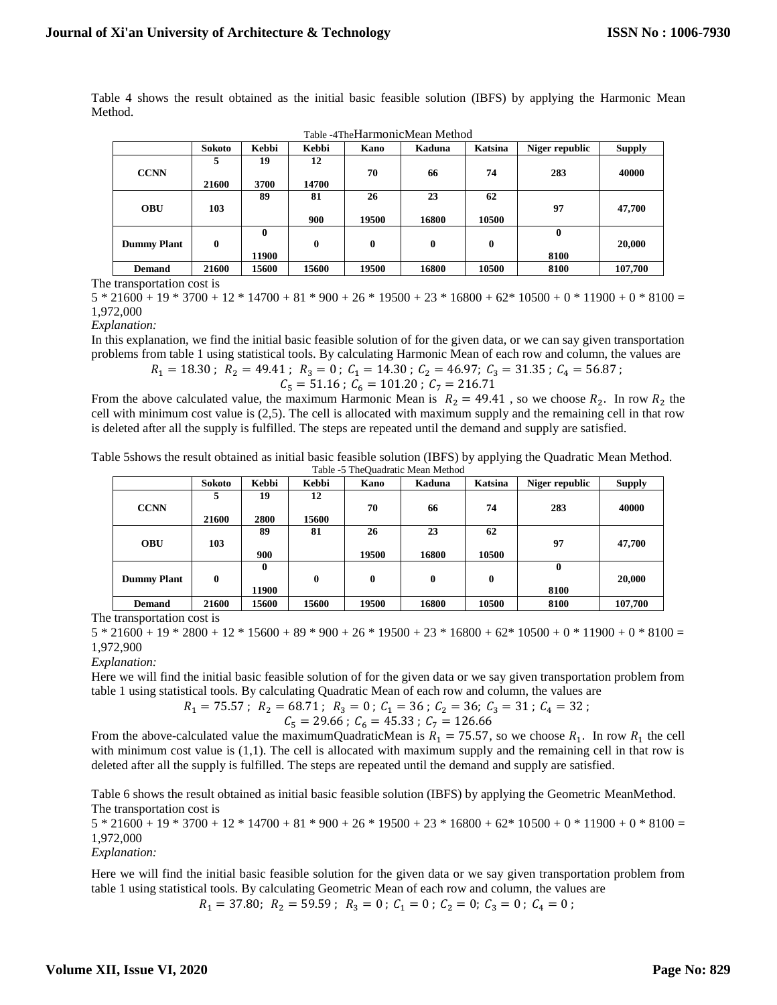Table 4 shows the result obtained as the initial basic feasible solution (IBFS) by applying the Harmonic Mean Method.

|                    |        |              |       |       | Table - TTHer Rai HROHICHTCall TVICHTCG |         |                |               |
|--------------------|--------|--------------|-------|-------|-----------------------------------------|---------|----------------|---------------|
|                    | Sokoto | Kebbi        | Kebbi | Kano  | Kaduna                                  | Katsina | Niger republic | <b>Supply</b> |
|                    | 5      | 19           | 12    |       |                                         |         |                |               |
| <b>CCNN</b>        |        |              |       | 70    | 66                                      | 74      | 283            | 40000         |
|                    | 21600  | 3700         | 14700 |       |                                         |         |                |               |
|                    |        | 89           | 81    | 26    | 23                                      | 62      |                |               |
| <b>OBU</b>         | 103    |              |       |       |                                         |         | 97             | 47,700        |
|                    |        |              | 900   | 19500 | 16800                                   | 10500   |                |               |
|                    |        | $\mathbf{0}$ |       |       |                                         |         | $\mathbf{0}$   |               |
| <b>Dummy Plant</b> | 0      |              | 0     | 0     | $\mathbf{0}$                            | 0       |                | 20,000        |
|                    |        | 11900        |       |       |                                         |         | 8100           |               |
| <b>Demand</b>      | 21600  | 15600        | 15600 | 19500 | 16800                                   | 10500   | 8100           | 107.700       |

Table -4TheHarmonicMean Method

The transportation cost is

 $5 * 21600 + 19 * 3700 + 12 * 14700 + 81 * 900 + 26 * 19500 + 23 * 16800 + 62 * 10500 + 0 * 11900 + 0 * 8100 =$ 1,972,000

*Explanation:*

In this explanation, we find the initial basic feasible solution of for the given data, or we can say given transportation problems from table 1 using statistical tools. By calculating Harmonic Mean of each row and column, the values are

$$
R_1 = 18.30
$$
;  $R_2 = 49.41$ ;  $R_3 = 0$ ;  $C_1 = 14.30$ ;  $C_2 = 46.97$ ;  $C_3 = 31.35$ ;  $C_4 = 56.87$ ;

$$
C_5 = 51.16 ; C_6 = 101.20 ; C_7 = 216.71
$$

From the above calculated value, the maximum Harmonic Mean is  $R_2 = 49.41$ , so we choose  $R_2$ . In row  $R_2$  the cell with minimum cost value is (2,5). The cell is allocated with maximum supply and the remaining cell in that row is deleted after all the supply is fulfilled. The steps are repeated until the demand and supply are satisfied.

Table 5shows the result obtained as initial basic feasible solution (IBFS) by applying the Quadratic Mean Method. Table -5 TheQuadratic Mean Method

|                    | <b>Sokoto</b>    | Kebbi | Kebbi | Kano  | Kaduna | Katsina | Niger republic | <b>Supply</b> |
|--------------------|------------------|-------|-------|-------|--------|---------|----------------|---------------|
| <b>CCNN</b>        | 5                | 19    | 12    | 70    | 66     | 74      | 283            | 40000         |
|                    | 21600            | 2800  | 15600 |       |        |         |                |               |
|                    |                  | 89    | 81    | 26    | 23     | 62      |                |               |
| <b>OBU</b>         | 103              |       |       |       |        |         | 97             | 47,700        |
|                    |                  | 900   |       | 19500 | 16800  | 10500   |                |               |
|                    |                  | 0     |       |       |        |         | 0              |               |
| <b>Dummy Plant</b> | $\boldsymbol{0}$ |       | 0     | 0     | 0      | 0       |                | 20,000        |
|                    |                  | 11900 |       |       |        |         | 8100           |               |
| <b>Demand</b>      | 21600            | 15600 | 15600 | 19500 | 16800  | 10500   | 8100           | 107.700       |

The transportation cost is

 $5 * 21600 + 19 * 2800 + 12 * 15600 + 89 * 900 + 26 * 19500 + 23 * 16800 + 62 * 10500 + 0 * 11900 + 0 * 8100 =$ 1,972,900

*Explanation:*

Here we will find the initial basic feasible solution of for the given data or we say given transportation problem from table 1 using statistical tools. By calculating Quadratic Mean of each row and column, the values are

$$
R_1 = 75.57
$$
;  $R_2 = 68.71$ ;  $R_3 = 0$ ;  $C_1 = 36$ ;  $C_2 = 36$ ;  $C_3 = 31$ ;  $C_4 = 32$ ;

$$
C_5 = 29.66 \, ; \ C_6 = 45.33 \, ; \ C_7 = 126.66
$$

From the above-calculated value the maximumQuadraticMean is  $R_1 = 75.57$ , so we choose  $R_1$ . In row  $R_1$  the cell with minimum cost value is (1,1). The cell is allocated with maximum supply and the remaining cell in that row is deleted after all the supply is fulfilled. The steps are repeated until the demand and supply are satisfied.

Table 6 shows the result obtained as initial basic feasible solution (IBFS) by applying the Geometric MeanMethod. The transportation cost is

 $5 * 21600 + 19 * 3700 + 12 * 14700 + 81 * 900 + 26 * 19500 + 23 * 16800 + 62 * 10500 + 0 * 11900 + 0 * 8100 =$ 1,972,000

*Explanation:*

Here we will find the initial basic feasible solution for the given data or we say given transportation problem from table 1 using statistical tools. By calculating Geometric Mean of each row and column, the values are

 $R_1 = 37.80; R_2 = 59.59; R_3 = 0; C_1 = 0; C_2 = 0; C_3 = 0; C_4 = 0;$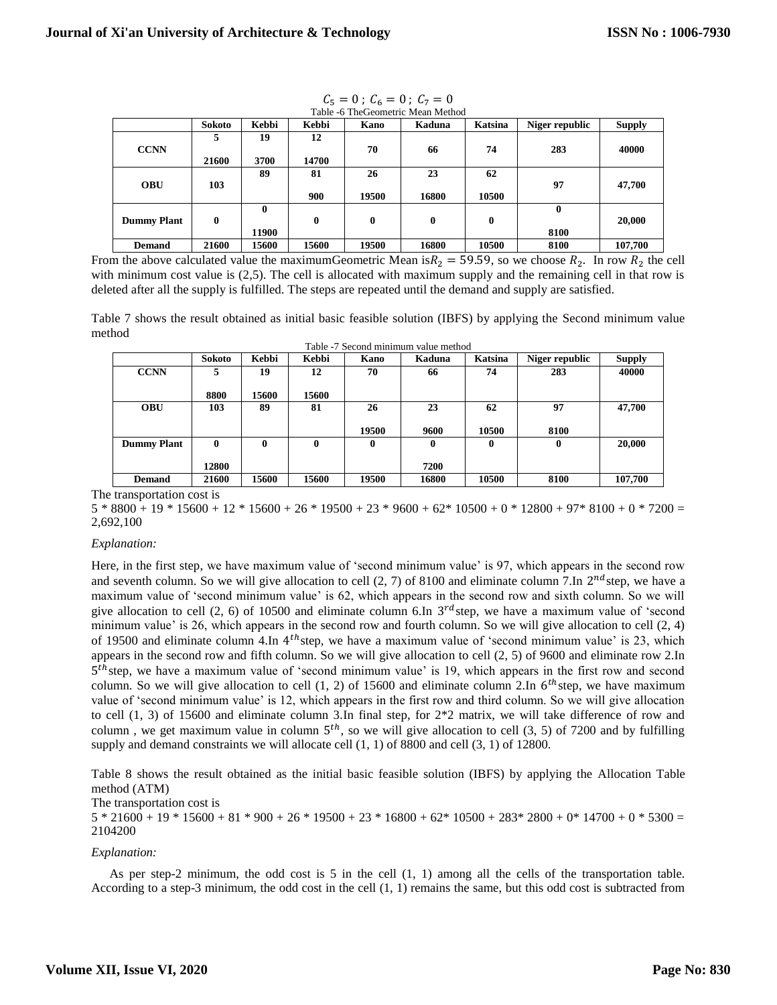|                    | Sokoto   | Kebbi        | Kebbi    | Kano         | Kaduna   | Katsina  | Niger republic | <b>Supply</b> |
|--------------------|----------|--------------|----------|--------------|----------|----------|----------------|---------------|
|                    | 5        | 19           | 12       |              |          |          |                |               |
| <b>CCNN</b>        |          |              |          | 70           | 66       | 74       | 283            | 40000         |
|                    | 21600    | 3700         | 14700    |              |          |          |                |               |
|                    |          | 89           | 81       | 26           | 23       | 62       |                |               |
| <b>OBU</b>         | 103      |              |          |              |          |          | 97             | 47,700        |
|                    |          |              | 900      | 19500        | 16800    | 10500    |                |               |
|                    |          | $\mathbf{0}$ |          |              |          |          | $\bf{0}$       |               |
| <b>Dummy Plant</b> | $\bf{0}$ |              | $\bf{0}$ | $\mathbf{0}$ | $\bf{0}$ | $\bf{0}$ |                | 20,000        |
|                    |          | 11900        |          |              |          |          | 8100           |               |
| <b>Demand</b>      | 21600    | 15600        | 15600    | 19500        | 16800    | 10500    | 8100           | 107,700       |

 $C_5 = 0$ ;  $C_6 = 0$ ;  $C_7 = 0$ Table -6 TheGeometric Mean Method

From the above calculated value the maximumGeometric Mean is  $R_2 = 59.59$ , so we choose  $R_2$ . In row  $R_2$  the cell with minimum cost value is (2,5). The cell is allocated with maximum supply and the remaining cell in that row is deleted after all the supply is fulfilled. The steps are repeated until the demand and supply are satisfied.

Table 7 shows the result obtained as initial basic feasible solution (IBFS) by applying the Second minimum value method

|                    | Table -7 Second minimum value method |              |              |       |        |         |                |               |  |  |  |
|--------------------|--------------------------------------|--------------|--------------|-------|--------|---------|----------------|---------------|--|--|--|
|                    | <b>Sokoto</b>                        | Kebbi        | Kebbi        | Kano  | Kaduna | Katsina | Niger republic | <b>Supply</b> |  |  |  |
| <b>CCNN</b>        | 5                                    | 19           | 12           | 70    | 66     | 74      | 283            | 40000         |  |  |  |
|                    |                                      |              |              |       |        |         |                |               |  |  |  |
|                    | 8800                                 | <b>15600</b> | 15600        |       |        |         |                |               |  |  |  |
| <b>OBU</b>         | 103                                  | 89           | 81           | 26    | 23     | 62      | 97             | 47,700        |  |  |  |
|                    |                                      |              |              |       |        |         |                |               |  |  |  |
|                    |                                      |              |              | 19500 | 9600   | 10500   | 8100           |               |  |  |  |
| <b>Dummy Plant</b> | $\boldsymbol{0}$                     | 0            | 0            | 0     | 0      | 0       | 0              | 20,000        |  |  |  |
|                    |                                      |              |              |       |        |         |                |               |  |  |  |
|                    | 12800                                |              |              |       | 7200   |         |                |               |  |  |  |
| <b>Demand</b>      | 21600                                | 15600        | <b>15600</b> | 19500 | 16800  | 10500   | 8100           | 107,700       |  |  |  |

The transportation cost is

 $5 * 8800 + 19 * 15600 + 12 * 15600 + 26 * 19500 + 23 * 9600 + 62 * 10500 + 0 * 12800 + 97 * 8100 + 0 * 7200 =$ 2,692,100

# *Explanation:*

Here, in the first step, we have maximum value of 'second minimum value' is 97, which appears in the second row and seventh column. So we will give allocation to cell  $(2, 7)$  of 8100 and eliminate column 7.In  $2^{nd}$ step, we have a maximum value of 'second minimum value' is 62, which appears in the second row and sixth column. So we will give allocation to cell  $(2, 6)$  of 10500 and eliminate column 6.In  $3^{rd}$ step, we have a maximum value of 'second minimum value' is 26, which appears in the second row and fourth column. So we will give allocation to cell  $(2, 4)$ of 19500 and eliminate column 4.In  $4^{th}$ step, we have a maximum value of 'second minimum value' is 23, which appears in the second row and fifth column. So we will give allocation to cell (2, 5) of 9600 and eliminate row 2.In 5<sup>th</sup>step, we have a maximum value of 'second minimum value' is 19, which appears in the first row and second column. So we will give allocation to cell  $(1, 2)$  of 15600 and eliminate column 2.In  $6^{th}$ step, we have maximum value of 'second minimum value' is 12, which appears in the first row and third column. So we will give allocation to cell (1, 3) of 15600 and eliminate column 3.In final step, for 2\*2 matrix, we will take difference of row and column, we get maximum value in column  $5<sup>th</sup>$ , so we will give allocation to cell (3, 5) of 7200 and by fulfilling supply and demand constraints we will allocate cell  $(1, 1)$  of 8800 and cell  $(3, 1)$  of 12800.

Table 8 shows the result obtained as the initial basic feasible solution (IBFS) by applying the Allocation Table method (ATM)

The transportation cost is

 $5 * 21600 + 19 * 15600 + 81 * 900 + 26 * 19500 + 23 * 16800 + 62 * 10500 + 283 * 2800 + 0* 14700 + 0* 5300 =$ 2104200

## *Explanation:*

As per step-2 minimum, the odd cost is 5 in the cell (1, 1) among all the cells of the transportation table. According to a step-3 minimum, the odd cost in the cell  $(1, 1)$  remains the same, but this odd cost is subtracted from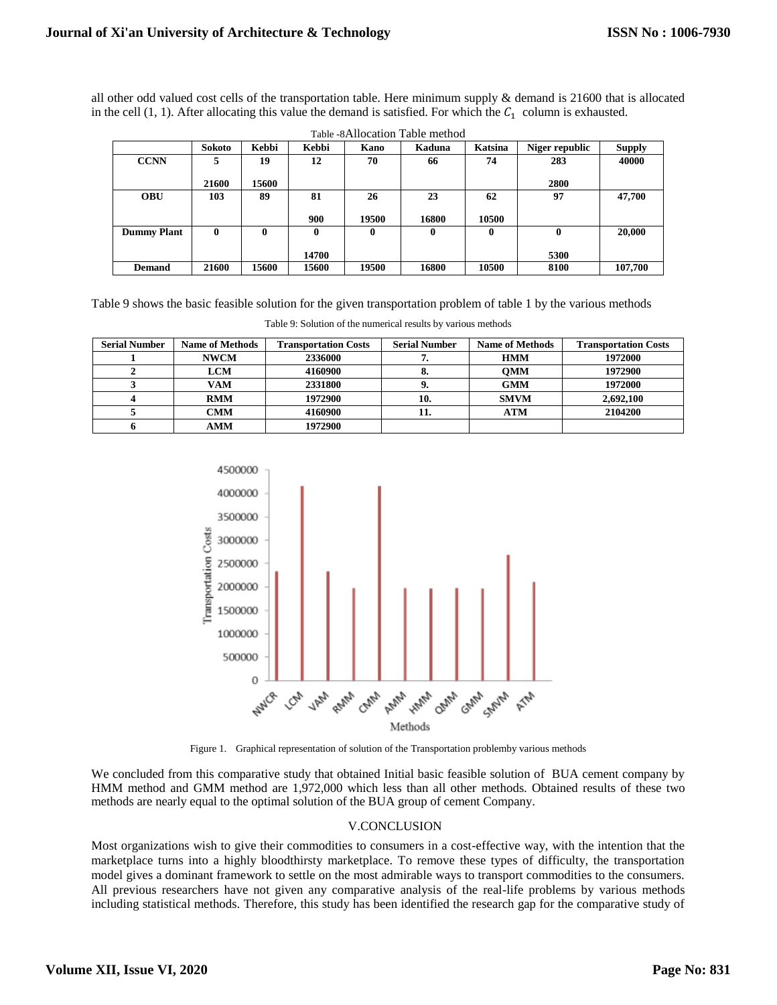all other odd valued cost cells of the transportation table. Here minimum supply & demand is 21600 that is allocated in the cell  $(1, 1)$ . After allocating this value the demand is satisfied. For which the  $C_1$  column is exhausted.

|                    |        |          |       |       | Table of Hiocation Table method |                |                  |               |
|--------------------|--------|----------|-------|-------|---------------------------------|----------------|------------------|---------------|
|                    | Sokoto | Kebbi    | Kebbi | Kano  | Kaduna                          | <b>Katsina</b> | Niger republic   | <b>Supply</b> |
| <b>CCNN</b>        | 5      | 19       | 12    | 70    | 66                              | 74             | 283              | 40000         |
|                    | 21600  | 15600    |       |       |                                 |                | 2800             |               |
| <b>OBU</b>         | 103    | 89       | 81    | 26    | 23                              | 62             | 97               | 47,700        |
|                    |        |          | 900   | 19500 | 16800                           | 10500          |                  |               |
| <b>Dummy Plant</b> | 0      | $\bf{0}$ | 0     | 0     | 0                               | 0              | $\boldsymbol{0}$ | 20,000        |
|                    |        |          |       |       |                                 |                |                  |               |
|                    |        |          | 14700 |       |                                 |                | 5300             |               |
| <b>Demand</b>      | 21600  | 15600    | 15600 | 19500 | 16800                           | 10500          | 8100             | 107.700       |

Table -8Allocation Table method

Table 9 shows the basic feasible solution for the given transportation problem of table 1 by the various methods

| <b>Serial Number</b> | <b>Name of Methods</b> | <b>Transportation Costs</b> | <b>Serial Number</b> | <b>Name of Methods</b> | <b>Transportation Costs</b> |
|----------------------|------------------------|-----------------------------|----------------------|------------------------|-----------------------------|
|                      | <b>NWCM</b>            | 2336000                     |                      | <b>HMM</b>             | 1972000                     |
|                      | LCM                    | 4160900                     |                      | <b>OMM</b>             | 1972900                     |
|                      | VAM                    | 2331800                     |                      | <b>GMM</b>             | 1972000                     |
|                      | <b>RMM</b>             | 1972900                     | 10.                  | <b>SMVM</b>            | 2,692,100                   |
|                      | CMM                    | 4160900                     | 11.                  | <b>ATM</b>             | 2104200                     |
|                      | AMM                    | 1972900                     |                      |                        |                             |

Table 9: Solution of the numerical results by various methods



Figure 1. Graphical representation of solution of the Transportation problemby various methods

We concluded from this comparative study that obtained Initial basic feasible solution of BUA cement company by HMM method and GMM method are 1,972,000 which less than all other methods. Obtained results of these two methods are nearly equal to the optimal solution of the BUA group of cement Company.

# V.CONCLUSION

Most organizations wish to give their commodities to consumers in a cost-effective way, with the intention that the marketplace turns into a highly bloodthirsty marketplace. To remove these types of difficulty, the transportation model gives a dominant framework to settle on the most admirable ways to transport commodities to the consumers. All previous researchers have not given any comparative analysis of the real-life problems by various methods including statistical methods. Therefore, this study has been identified the research gap for the comparative study of